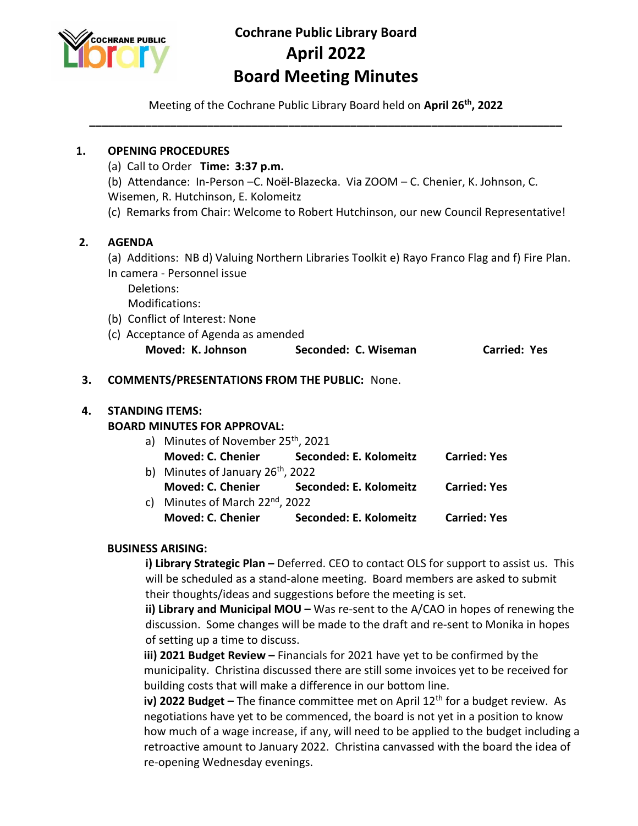

# **Cochrane Public Library Board April 2022 Board Meeting Minutes**

Meeting of the Cochrane Public Library Board held on **April 26 th, 2022 \_\_\_\_\_\_\_\_\_\_\_\_\_\_\_\_\_\_\_\_\_\_\_\_\_\_\_\_\_\_\_\_\_\_\_\_\_\_\_\_\_\_\_\_\_\_\_\_\_\_\_\_\_\_\_\_\_\_\_\_\_\_\_\_\_\_\_\_\_\_\_\_\_\_\_\_**

#### **1. OPENING PROCEDURES**

- (a) Call to Order **Time: 3:37 p.m.**
- (b) Attendance: In-Person –C. Noël-Blazecka. Via ZOOM C. Chenier, K. Johnson, C. Wisemen, R. Hutchinson, E. Kolomeitz
- (c) Remarks from Chair: Welcome to Robert Hutchinson, our new Council Representative!

## **2. AGENDA**

(a) Additions: NB d) Valuing Northern Libraries Toolkit e) Rayo Franco Flag and f) Fire Plan. In camera - Personnel issue

Deletions:

Modifications:

- (b) Conflict of Interest: None
- (c) Acceptance of Agenda as amended **Moved: K. Johnson Seconded: C. Wiseman Carried: Yes**

#### **3. COMMENTS/PRESENTATIONS FROM THE PUBLIC:** None.

#### **4. STANDING ITEMS:**

## **BOARD MINUTES FOR APPROVAL:**

| a) Minutes of November 25 <sup>th</sup> , 2021 |                                          |                     |  |
|------------------------------------------------|------------------------------------------|---------------------|--|
|                                                | Moved: C. Chenier Seconded: E. Kolomeitz | <b>Carried: Yes</b> |  |
| b) Minutes of January $26th$ , 2022            |                                          |                     |  |
|                                                | Moved: C. Chenier Seconded: E. Kolomeitz | <b>Carried: Yes</b> |  |
| c) Minutes of March 22 <sup>nd</sup> , 2022    |                                          |                     |  |
| Moved: C. Chenier                              | Seconded: E. Kolomeitz                   | <b>Carried: Yes</b> |  |

#### **BUSINESS ARISING:**

**i) Library Strategic Plan –** Deferred. CEO to contact OLS for support to assist us. This will be scheduled as a stand-alone meeting. Board members are asked to submit their thoughts/ideas and suggestions before the meeting is set.

**ii) Library and Municipal MOU –** Was re-sent to the A/CAO in hopes of renewing the discussion. Some changes will be made to the draft and re-sent to Monika in hopes of setting up a time to discuss.

**iii) 2021 Budget Review –** Financials for 2021 have yet to be confirmed by the municipality. Christina discussed there are still some invoices yet to be received for building costs that will make a difference in our bottom line.

**iv) 2022 Budget –** The finance committee met on April 12<sup>th</sup> for a budget review. As negotiations have yet to be commenced, the board is not yet in a position to know how much of a wage increase, if any, will need to be applied to the budget including a retroactive amount to January 2022. Christina canvassed with the board the idea of re-opening Wednesday evenings.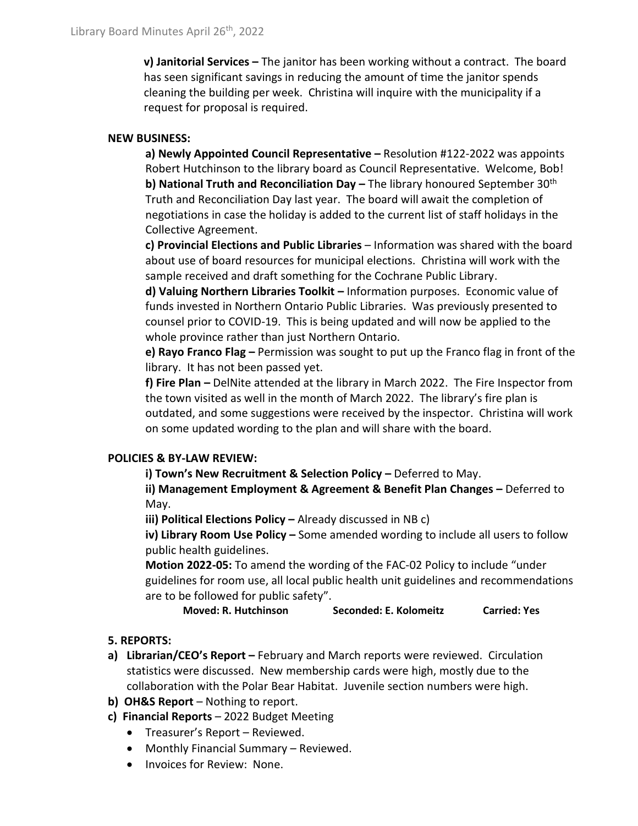**v) Janitorial Services –** The janitor has been working without a contract. The board has seen significant savings in reducing the amount of time the janitor spends cleaning the building per week. Christina will inquire with the municipality if a request for proposal is required.

## **NEW BUSINESS:**

**a) Newly Appointed Council Representative –** Resolution #122-2022 was appoints Robert Hutchinson to the library board as Council Representative. Welcome, Bob! **b) National Truth and Reconciliation Day –** The library honoured September 30th Truth and Reconciliation Day last year. The board will await the completion of negotiations in case the holiday is added to the current list of staff holidays in the Collective Agreement.

**c) Provincial Elections and Public Libraries** – Information was shared with the board about use of board resources for municipal elections. Christina will work with the sample received and draft something for the Cochrane Public Library.

**d) Valuing Northern Libraries Toolkit –** Information purposes. Economic value of funds invested in Northern Ontario Public Libraries. Was previously presented to counsel prior to COVID-19. This is being updated and will now be applied to the whole province rather than just Northern Ontario.

**e) Rayo Franco Flag –** Permission was sought to put up the Franco flag in front of the library. It has not been passed yet.

**f) Fire Plan –** DelNite attended at the library in March 2022. The Fire Inspector from the town visited as well in the month of March 2022. The library's fire plan is outdated, and some suggestions were received by the inspector. Christina will work on some updated wording to the plan and will share with the board.

## **POLICIES & BY-LAW REVIEW:**

**i) Town's New Recruitment & Selection Policy – Deferred to May.** 

**ii) Management Employment & Agreement & Benefit Plan Changes –** Deferred to May.

**iii) Political Elections Policy –** Already discussed in NB c)

**iv) Library Room Use Policy –** Some amended wording to include all users to follow public health guidelines.

**Motion 2022-05:** To amend the wording of the FAC-02 Policy to include "under guidelines for room use, all local public health unit guidelines and recommendations are to be followed for public safety".

**Moved: R. Hutchinson Seconded: E. Kolomeitz Carried: Yes**

## **5. REPORTS:**

- **a) Librarian/CEO's Report –** February and March reports were reviewed. Circulation statistics were discussed. New membership cards were high, mostly due to the collaboration with the Polar Bear Habitat. Juvenile section numbers were high.
- **b) OH&S Report**  Nothing to report.
- **c) Financial Reports** 2022 Budget Meeting
	- Treasurer's Report Reviewed.
	- Monthly Financial Summary Reviewed.
	- Invoices for Review: None.